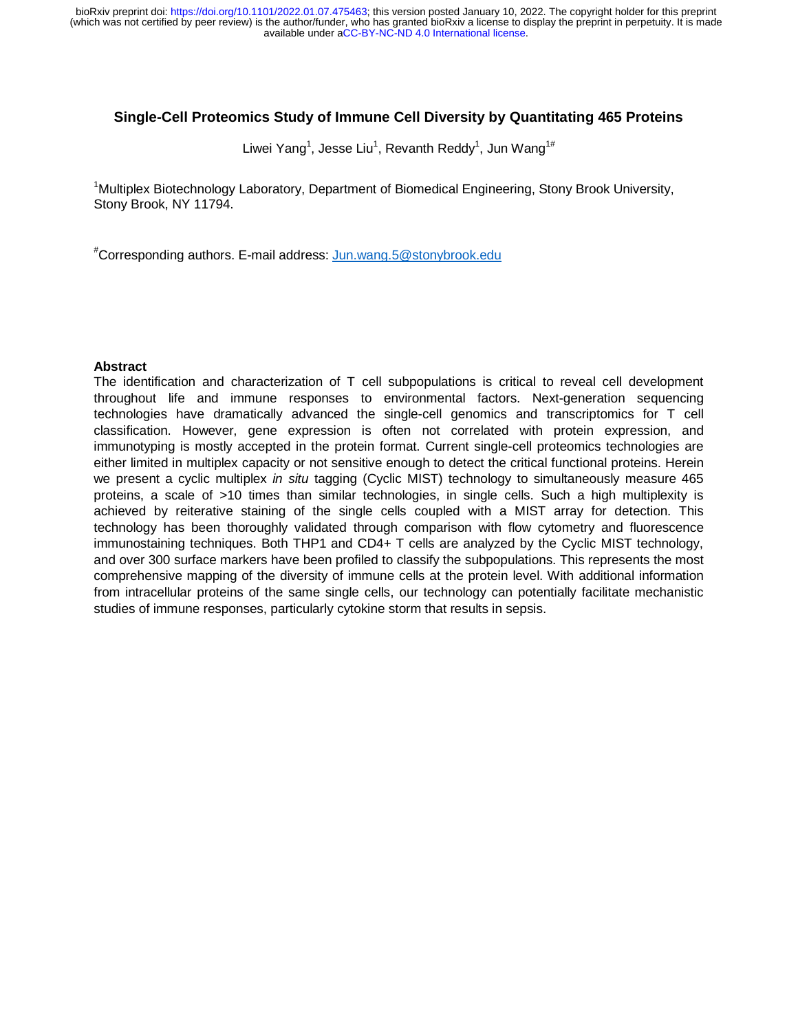# **Single-Cell Proteomics Study of Immune Cell Diversity by Quantitating 465 Proteins**

Liwei Yang $^1$ , Jesse Liu $^1$ , Revanth Reddy $^1$ , Jun Wang $^{1\#}$ 

<sup>1</sup>Multiplex Biotechnology Laboratory, Department of Biomedical Engineering, Stony Brook University, Stony Brook, NY 11794.

# Corresponding authors. E-mail address: Jun.wang.5@stonybrook.edu

### **Abstract**

The identification and characterization of T cell subpopulations is critical to reveal cell development throughout life and immune responses to environmental factors. Next-generation sequencing technologies have dramatically advanced the single-cell genomics and transcriptomics for T cell classification. However, gene expression is often not correlated with protein expression, and immunotyping is mostly accepted in the protein format. Current single-cell proteomics technologies are either limited in multiplex capacity or not sensitive enough to detect the critical functional proteins. Herein we present a cyclic multiplex *in situ* tagging (Cyclic MIST) technology to simultaneously measure 465 proteins, a scale of >10 times than similar technologies, in single cells. Such a high multiplexity is achieved by reiterative staining of the single cells coupled with a MIST array for detection. This technology has been thoroughly validated through comparison with flow cytometry and fluorescence immunostaining techniques. Both THP1 and CD4+ T cells are analyzed by the Cyclic MIST technology, and over 300 surface markers have been profiled to classify the subpopulations. This represents the most comprehensive mapping of the diversity of immune cells at the protein level. With additional information from intracellular proteins of the same single cells, our technology can potentially facilitate mechanistic studies of immune responses, particularly cytokine storm that results in sepsis.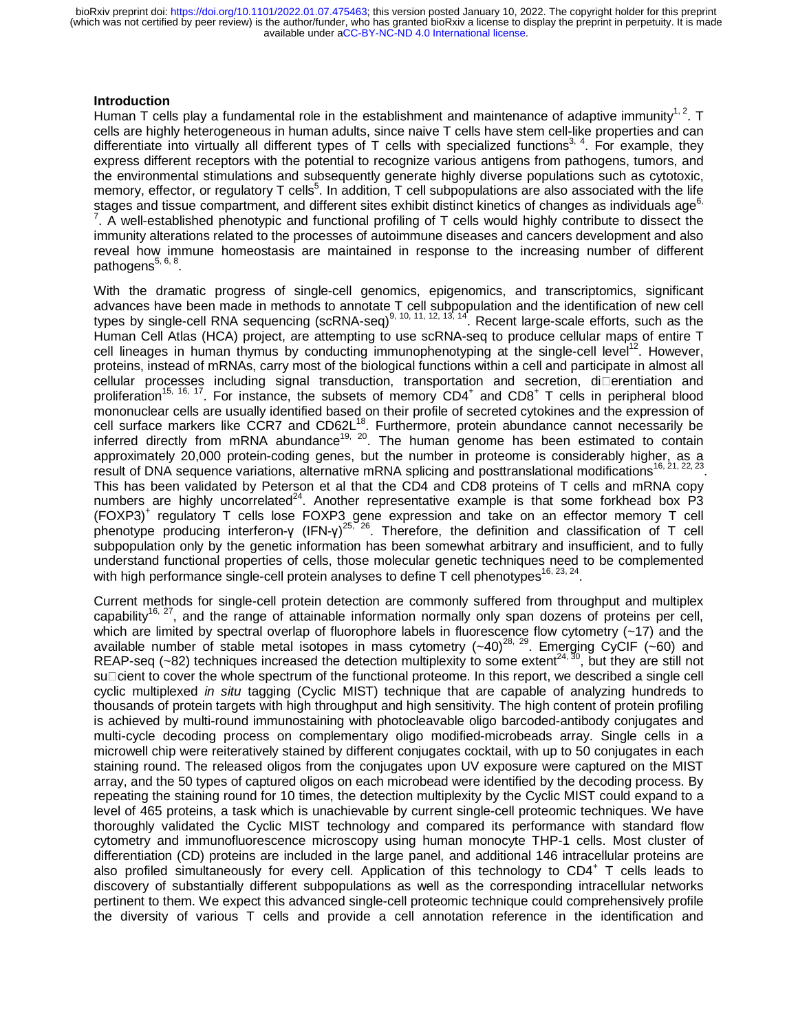### **Introduction**

Human T cells play a fundamental role in the establishment and maintenance of adaptive immunity<sup>1, 2</sup>. T cells are highly heterogeneous in human adults, since naive T cells have stem cell-like properties and can differentiate into virtually all different types of T cells with specialized functions<sup>3, 4</sup>. For example, they express different receptors with the potential to recognize various antigens from pathogens, tumors, and the environmental stimulations and subsequently generate highly diverse populations such as cytotoxic, memory, effector, or regulatory T cells<sup>5</sup>. In addition, T cell subpopulations are also associated with the life stages and tissue compartment, and different sites exhibit distinct kinetics of changes as individuals age<sup>6,</sup>  $7.$  A well-established phenotypic and functional profiling of T cells would highly contribute to dissect the immunity alterations related to the processes of autoimmune diseases and cancers development and also reveal how immune homeostasis are maintained in response to the increasing number of different pathogens $5, 6, 8$ .

With the dramatic progress of single-cell genomics, epigenomics, and transcriptomics, significant advances have been made in methods to annotate T cell subpopulation and the identification of new cell types by single-cell RNA sequencing (scRNA-seq)<sup>9, 10, 11, 12, 13, 14</sup>. Recent large-scale efforts, such as the Human Cell Atlas (HCA) project, are attempting to use scRNA-seq to produce cellular maps of entire T cell lineages in human thymus by conducting immunophenotyping at the single-cell level<sup>12</sup>. However, proteins, instead of mRNAs, carry most of the biological functions within a cell and participate in almost all  $cellular$  processes including signal transduction, transportation and secretion, di $\square$ erentiation and proliferation<sup>15, 16, 17</sup>. For instance, the subsets of memory  $CD4^+$  and  $CD8^+$  T cells in peripheral blood mononuclear cells are usually identified based on their profile of secreted cytokines and the expression of cell surface markers like CCR7 and CD62L<sup>18</sup>. Furthermore, protein abundance cannot necessarily be inferred directly from mRNA abundance<sup>19, 20</sup>. The human genome has been estimated to contain approximately 20,000 protein-coding genes, but the number in proteome is considerably higher, as a result of DNA sequence variations, alternative mRNA splicing and posttranslational modifications<sup>16, 21, 22, 23</sup>. This has been validated by Peterson et al that the CD4 and CD8 proteins of T cells and mRNA copy numbers are highly uncorrelated<sup>24</sup>. Another representative example is that some forkhead box  $\overrightarrow{P3}$ (FOXP3)<sup>+</sup> regulatory T cells lose FOXP3 gene expression and take on an effector memory T cell phenotype producing interferon-γ (IFN-γ)<sup>25, 26</sup>. Therefore, the definition and classification of T cell<br>cubnoquiation only by the genetic information has been computed orbitrary and inquificiant, and to fully subpopulation only by the genetic information has been somewhat arbitrary and insufficient, and to fully understand functional properties of cells, those molecular genetic techniques need to be complemented with high performance single-cell protein analyses to define T cell phenotypes<sup>16, 23, 24</sup>.

Current methods for single-cell protein detection are commonly suffered from throughput and multiplex capability<sup>16, 27</sup>, and the range of attainable information normally only span dozens of proteins per cell, which are limited by spectral overlap of fluorophore labels in fluorescence flow cytometry (~17) and the available number of stable metal isotopes in mass cytometry  $(-40)^{28, 29}$ . Emerging CyCIF (~60) and REAP-seq  $(-82)$  techniques increased the detection multiplexity to some extent<sup>24, 30</sup>, but they are still not su $\Box$ cient to cover the whole spectrum of the functional proteome. In this report, we described a single cell cyclic multiplexed *in situ* tagging (Cyclic MIST) technique that are capable of analyzing hundreds to thousands of protein targets with high throughput and high sensitivity. The high content of protein profiling is achieved by multi-round immunostaining with photocleavable oligo barcoded-antibody conjugates and multi-cycle decoding process on complementary oligo modified-microbeads array. Single cells in a microwell chip were reiteratively stained by different conjugates cocktail, with up to 50 conjugates in each staining round. The released oligos from the conjugates upon UV exposure were captured on the MIST array, and the 50 types of captured oligos on each microbead were identified by the decoding process. By repeating the staining round for 10 times, the detection multiplexity by the Cyclic MIST could expand to a level of 465 proteins, a task which is unachievable by current single-cell proteomic techniques. We have thoroughly validated the Cyclic MIST technology and compared its performance with standard flow cytometry and immunofluorescence microscopy using human monocyte THP-1 cells. Most cluster of differentiation (CD) proteins are included in the large panel, and additional 146 intracellular proteins are also profiled simultaneously for every cell. Application of this technology to CD4<sup>+</sup> T cells leads to discovery of substantially different subpopulations as well as the corresponding intracellular networks pertinent to them. We expect this advanced single-cell proteomic technique could comprehensively profile the diversity of various T cells and provide a cell annotation reference in the identification and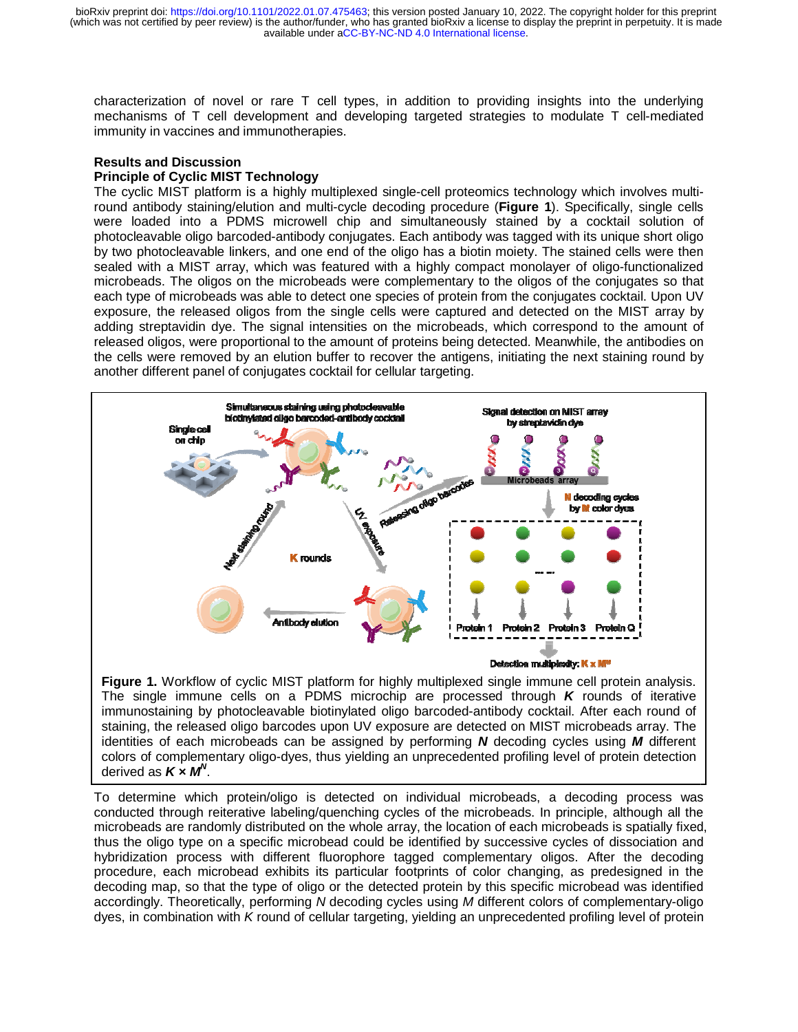characterization of novel or rare T cell types, in addition to providing insights into the underlying ng mechanisms of T cell development and developing targeted strategies to modulate T cell-mediated immunity in vaccines and immunotherapies.

## **Results and Discussion**

## **Principle of Cyclic MIST Technology**

The cyclic MIST platform is a highly multiplexed single-cell proteomics technology which involves multi- round antibody staining/elution and multi-cycle decoding procedure (Figure 1). Specifically, single cells were loaded into a PDMS microwell chip and simultaneously stained by a cocktail solution of photocleavable oligo barcoded-antibody conjugates. Each antibody was tagged with its unique short oligo go by two photocleavable linkers, and one end of the oligo has a biotin moiety. The stained cells were then sealed with a MIST array, which was featured with a highly compact monolayer of oligo-functionalized microbeads. The oligos on the microbeads were complementary to the oligos of the conjugates so that at each type of microbeads was able to detect one species of protein from the conjugates cocktail. Upon UV V exposure, the released oligos from the single cells were captured and detected on the MIST array by adding streptavidin dye. The signal intensities on the microbeads, which correspond to the amount of released oligos, were proportional to the amount of proteins being detected. Meanwhile, the antibodies on the cells were removed by an elution buffer to recover the antigens, initiating the next staining round by another different panel of conjugates cocktail for cellular targeting.



Figure 1. Workflow of cyclic MIST platform for highly multiplexed single immune cell protein analysis. The single immune cells on a PDMS microchip are processed through *K* rounds of iterative immunostaining by photocleavable biotinylated oligo barcoded-antibody cocktail. After each round of staining, the released oligo barcodes upon UV exposure are detected on MIST microbeads array. The identities of each microbeads can be assigned by performing *N* decoding cycles using *M* different colors of complementary oligo-dyes, thus yielding an unprecedented profiling level of protein detection derived as *K × MN* .

To determine which protein/oligo is detected on individual microbeads, a decoding process was as conducted through reiterative labeling/quenching cycles of the microbeads. In principle, although all the he microbeads are randomly distributed on the whole array, the location of each microbeads is spatially fixed, thus the oligo type on a specific microbead could be identified by successive cycles of dissociation and hybridization process with different fluorophore tagged complementary oligos. After the decoding ng procedure, each microbead exhibits its particular footprints of color changing, as predesigned in the decoding map, so that the type of oligo or the detected protein by this specific microbead was identified procedure, each microbead exhibits its particular footprints of color changing, as predesigned in the<br>decoding map, so that the type of oligo or the detected protein by this specific microbead was identified<br>accordingly. T dyes, in combination with *K* round of cellular targeting, yielding an unprecedented profiling level of protein in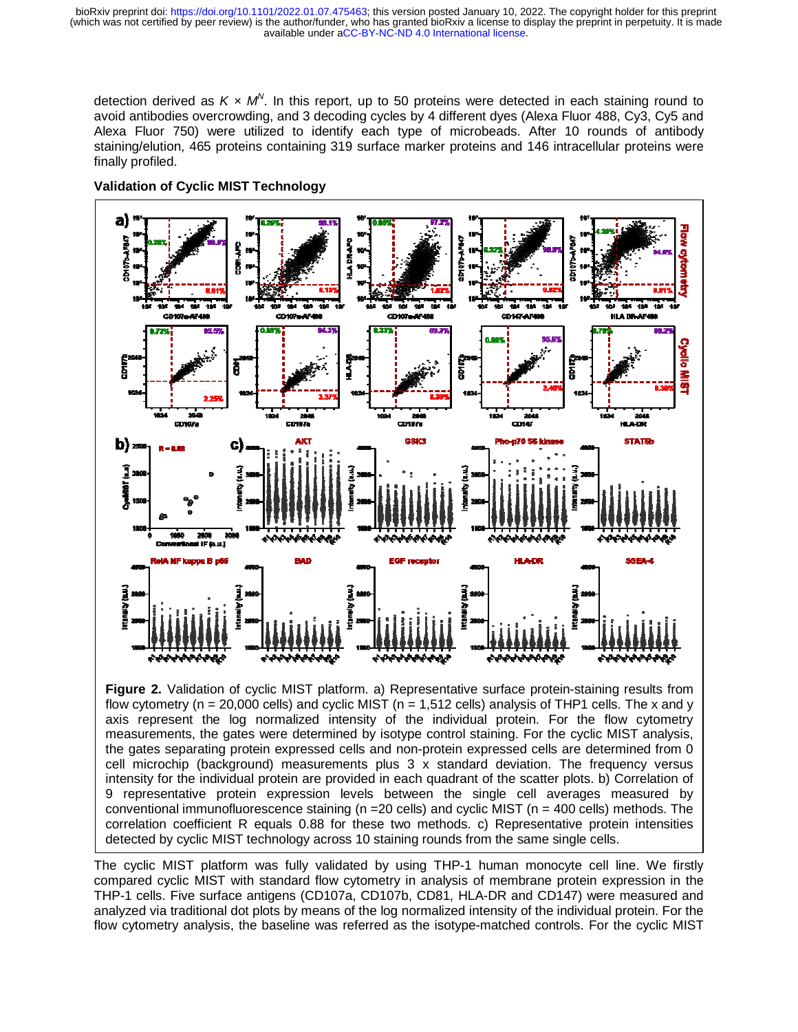detection derived as  $K \times M^{\vee}$ . In this report, up to 50 proteins were detected in each staining round to avoid antibodies overcrowding, and 3 decoding cycles by 4 different dyes (Alexa Fluor 488, Cy3, Cy5 and nd Alexa Fluor 750) were utilized to identify each type of microbeads. After 10 rounds of antibody staining/elution, 465 proteins containing 319 surface marker proteins and 146 intracellular proteins were finally profiled.



**Validation of Cyclic MIST Technology**

**Figure 2.** Validation of cyclic MIST platform. a) Representative surface protein-staining results from flow cytometry ( $n = 20,000$  cells) and cyclic MIST ( $n = 1,512$  cells) analysis of THP1 cells. The x and y axis represent the log normalized intensity of the individual protein. For the flow cytometry measurements, the gates were determined by isotype control staining. For the cyclic MIST analysis, the gates separating protein expressed cells and non-protein expressed cells are determined from 0 cell microchip (background) measurements plus 3 x standard deviation. The frequency versus intensity for the individual protein are provided in each quadrant of the scatter plots. b) Correlation of 9 representative protein expression levels between the single cell averages measured by conventional immunofluorescence staining (n =20 cells) and cyclic MIST (n = 400 cells) methods. The correlation coefficient R equals 0.88 for these two methods. c) Representative protein intensities detected by cyclic MIST technology across 10 staining rounds from the same single cells.

The cyclic MIST platform was fully validated by using THP-1 human monocyte cell line. We firstly compared cyclic MIST with standard flow cytometry in analysis of membrane protein expression in the he THP-1 cells. Five surface antigens (CD107a, CD107b, CD81, HLA-DR and CD147) were measured and nd analyzed via traditional dot plots by means of the log normalized intensity of the individual protein. For the he flow cytometry analysis, the baseline was referred as the isotype-matched controls. For the cyclic MIST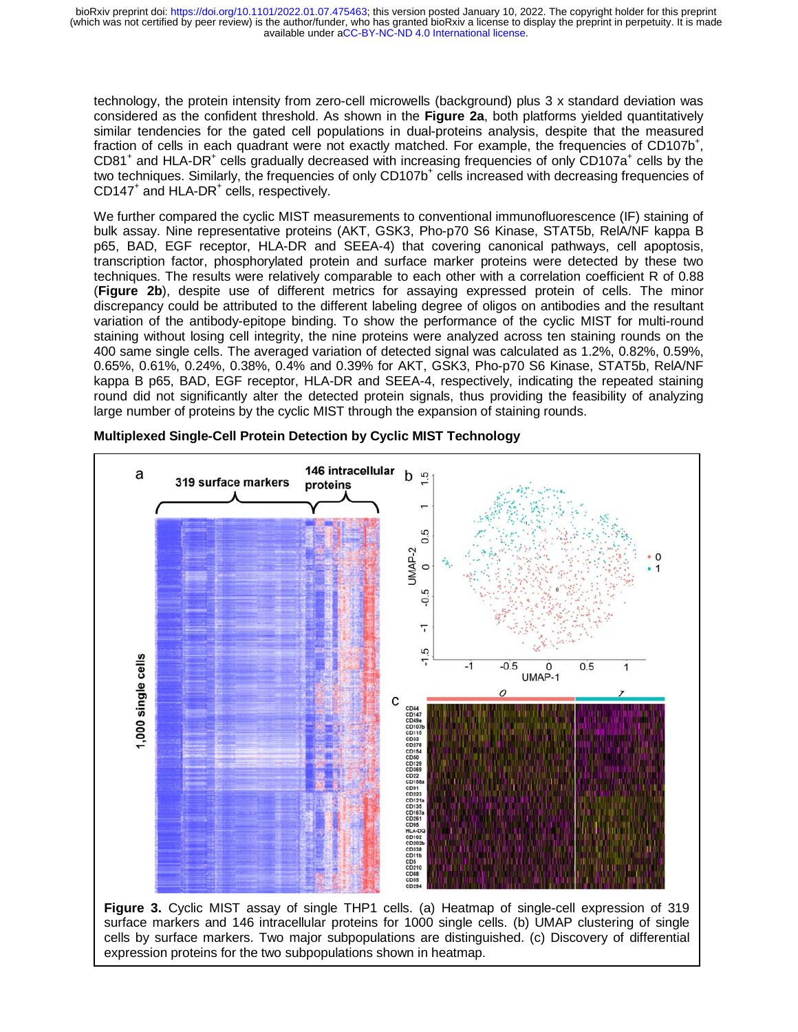technology, the protein intensity from zero-cell microwells (background) plus 3 x standard deviation was considered as the confident threshold. As shown in the **Figure 2a**, both platforms yielded quantitatively similar tendencies for the gated cell populations in dual-proteins analysis, despite that the measured fraction of cells in each quadrant were not exactly matched. For example, the frequencies of CD107b<sup>+</sup>, CD81<sup>+</sup> and HLA-DR<sup>+</sup> cells gradually decreased with increasing frequencies of only CD107a<sup>+</sup> cells by the two techniques. Similarly, the frequencies of only CD107b<sup>+</sup> cells increased with decreasing frequencies of CD147<sup>+</sup> and HLA-DR<sup>+</sup> cells, respectively.

We further compared the cyclic MIST measurements to conventional immunofluorescence (IF) staining of bulk assay. Nine representative proteins (AKT, GSK3, Pho-p70 S6 Kinase, STAT5b, RelA/NF kappa B p65, BAD, EGF receptor, HLA-DR and SEEA-4) that covering canonical pathways, cell apoptosis, transcription factor, phosphorylated protein and surface marker proteins were detected by these two techniques. The results were relatively comparable to each other with a correlation coefficient R of 0.88 (**Figure 2b**), despite use of different metrics for assaying expressed protein of cells. The minor discrepancy could be attributed to the different labeling degree of oligos on antibodies and the resultant variation of the antibody-epitope binding. To show the performance of the cyclic MIST for multi-round staining without losing cell integrity, the nine proteins were analyzed across ten staining rounds on the 400 same single cells. The averaged variation of detected signal was calculated as 1.2%, 0.82%, 0.59%, 0.65%, 0.61%, 0.24%, 0.38%, 0.4% and 0.39% for AKT, GSK3, Pho-p70 S6 Kinase, STAT5b, RelA/NF kappa B p65, BAD, EGF receptor, HLA-DR and SEEA-4, respectively, indicating the repeated staining round did not significantly alter the detected protein signals, thus providing the feasibility of analyzing large number of proteins by the cyclic MIST through the expansion of staining rounds.



**Multiplexed Single-Cell Protein Detection by Cyclic MIST Technology** 

**Figure 3.** Cyclic MIST assay of single THP1 cells. (a) Heatmap of single-cell expression of 319 surface markers and 146 intracellular proteins for 1000 single cells. (b) UMAP clustering of single cells by surface markers. Two major subpopulations are distinguished. (c) Discovery of differential expression proteins for the two subpopulations shown in heatmap.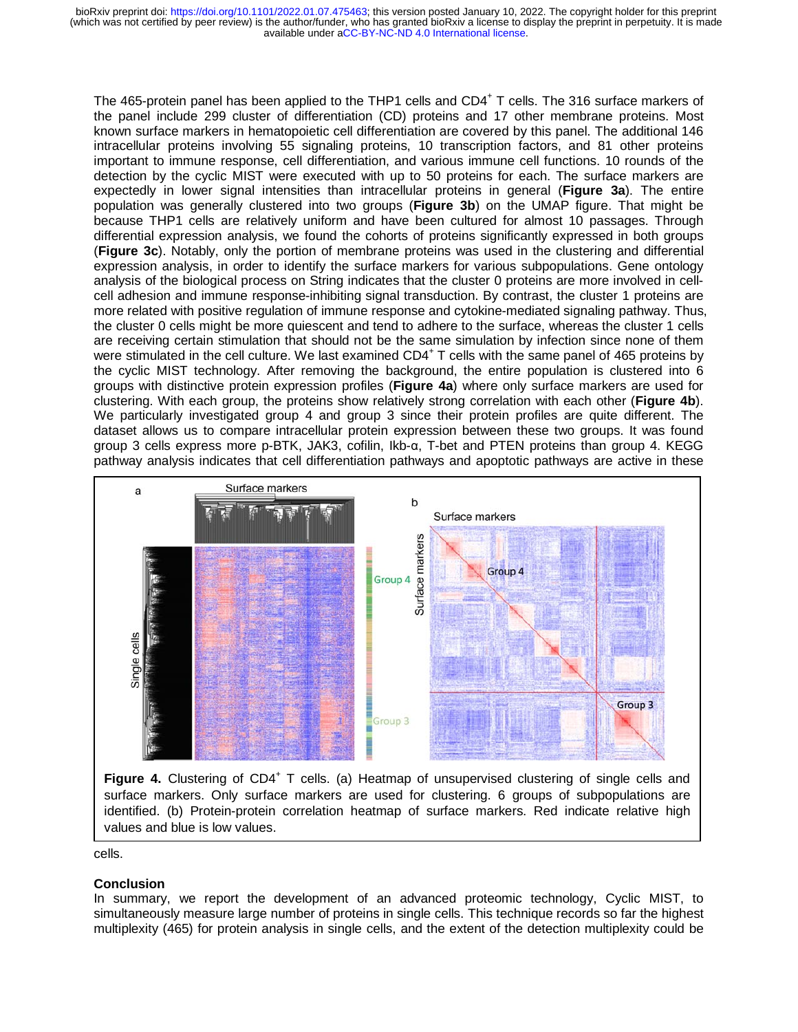The 465-protein panel has been applied to the THP1 cells and CD4<sup>+</sup> T cells. The 316 surface markers of the panel include 299 cluster of differentiation (CD) proteins and 17 other membrane proteins. Most known surface markers in hematopoietic cell differentiation are covered by this panel. The additional 146 intracellular proteins involving 55 signaling proteins, 10 transcription factors, and 81 other proteins important to immune response, cell differentiation, and various immune cell functions. 10 rounds of the detection by the cyclic MIST were executed with up to 50 proteins for each. The surface markers are expectedly in lower signal intensities than intracellular proteins in general (**Figure 3a**). The entire population was generally clustered into two groups (**Figure 3b**) on the UMAP figure. That might be because THP1 cells are relatively uniform and have been cultured for almost 10 passages. Through differential expression analysis, we found the cohorts of proteins significantly expressed in both groups (**Figure 3c**). Notably, only the portion of membrane proteins was used in the clustering and differential expression analysis, in order to identify the surface markers for various subpopulations. Gene ontology analysis of the biological process on String indicates that the cluster 0 proteins are more involved in cellcell adhesion and immune response-inhibiting signal transduction. By contrast, the cluster 1 proteins are more related with positive regulation of immune response and cytokine-mediated signaling pathway. Thus, the cluster 0 cells might be more quiescent and tend to adhere to the surface, whereas the cluster 1 cells are receiving certain stimulation that should not be the same simulation by infection since none of them were stimulated in the cell culture. We last examined CD4<sup>+</sup> T cells with the same panel of 465 proteins by the cyclic MIST technology. After removing the background, the entire population is clustered into 6 groups with distinctive protein expression profiles (**Figure 4a**) where only surface markers are used for clustering. With each group, the proteins show relatively strong correlation with each other (**Figure 4b**). We particularly investigated group 4 and group 3 since their protein profiles are quite different. The dataset allows us to compare intracellular protein expression between these two groups. It was found group 3 cells express more p-BTK, JAK3, cofilin, Ikb-α, T-bet and PTEN proteins than group 4. KEGG pathway analysis indicates that cell differentiation pathways and apoptotic pathways are active in these



surface markers. Only surface markers are used for clustering. 6 groups of subpopulations are identified. (b) Protein-protein correlation heatmap of surface markers. Red indicate relative high values and blue is low values.

cells.

### **Conclusion**

In summary, we report the development of an advanced proteomic technology, Cyclic MIST, to simultaneously measure large number of proteins in single cells. This technique records so far the highest multiplexity (465) for protein analysis in single cells, and the extent of the detection multiplexity could be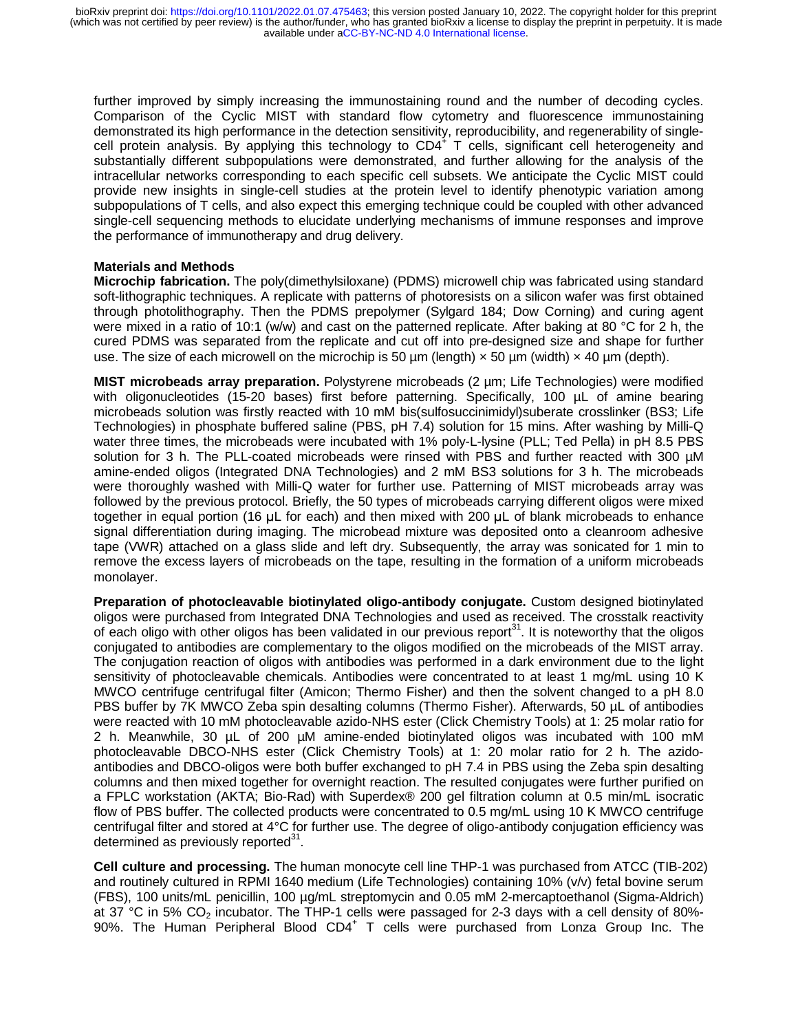further improved by simply increasing the immunostaining round and the number of decoding cycles. Comparison of the Cyclic MIST with standard flow cytometry and fluorescence immunostaining demonstrated its high performance in the detection sensitivity, reproducibility, and regenerability of singlecell protein analysis. By applying this technology to  $CD4^+$  T cells, significant cell heterogeneity and substantially different subpopulations were demonstrated, and further allowing for the analysis of the intracellular networks corresponding to each specific cell subsets. We anticipate the Cyclic MIST could provide new insights in single-cell studies at the protein level to identify phenotypic variation among subpopulations of T cells, and also expect this emerging technique could be coupled with other advanced single-cell sequencing methods to elucidate underlying mechanisms of immune responses and improve the performance of immunotherapy and drug delivery.

## **Materials and Methods**

**Microchip fabrication.** The poly(dimethylsiloxane) (PDMS) microwell chip was fabricated using standard soft-lithographic techniques. A replicate with patterns of photoresists on a silicon wafer was first obtained through photolithography. Then the PDMS prepolymer (Sylgard 184; Dow Corning) and curing agent were mixed in a ratio of 10:1 (w/w) and cast on the patterned replicate. After baking at 80 °C for 2 h, the cured PDMS was separated from the replicate and cut off into pre-designed size and shape for further use. The size of each microwell on the microchip is 50  $\mu$ m (length)  $\times$  50  $\mu$ m (width)  $\times$  40  $\mu$ m (depth).

**MIST microbeads array preparation.** Polystyrene microbeads (2 µm; Life Technologies) were modified with oligonucleotides (15-20 bases) first before patterning. Specifically, 100  $\mu$ L of amine bearing microbeads solution was firstly reacted with 10 mM bis(sulfosuccinimidyl)suberate crosslinker (BS3; Life Technologies) in phosphate buffered saline (PBS, pH 7.4) solution for 15 mins. After washing by Milli-Q water three times, the microbeads were incubated with 1% poly-L-lysine (PLL; Ted Pella) in pH 8.5 PBS solution for 3 h. The PLL-coated microbeads were rinsed with PBS and further reacted with 300 µM amine-ended oligos (Integrated DNA Technologies) and 2 mM BS3 solutions for 3 h. The microbeads were thoroughly washed with Milli-Q water for further use. Patterning of MIST microbeads array was followed by the previous protocol. Briefly, the 50 types of microbeads carrying different oligos were mixed together in equal portion (16 μL for each) and then mixed with 200 μL of blank microbeads to enhance signal differentiation during imaging. The microbead mixture was deposited onto a cleanroom adhesive tape (VWR) attached on a glass slide and left dry. Subsequently, the array was sonicated for 1 min to remove the excess layers of microbeads on the tape, resulting in the formation of a uniform microbeads monolayer.

**Preparation of photocleavable biotinylated oligo-antibody conjugate.** Custom designed biotinylated oligos were purchased from Integrated DNA Technologies and used as received. The crosstalk reactivity of each oligo with other oligos has been validated in our previous report $31$ . It is noteworthy that the oligos conjugated to antibodies are complementary to the oligos modified on the microbeads of the MIST array. The conjugation reaction of oligos with antibodies was performed in a dark environment due to the light sensitivity of photocleavable chemicals. Antibodies were concentrated to at least 1 mg/mL using 10 K MWCO centrifuge centrifugal filter (Amicon; Thermo Fisher) and then the solvent changed to a pH 8.0 PBS buffer by 7K MWCO Zeba spin desalting columns (Thermo Fisher). Afterwards, 50 µL of antibodies were reacted with 10 mM photocleavable azido-NHS ester (Click Chemistry Tools) at 1: 25 molar ratio for 2 h. Meanwhile, 30 µL of 200 µM amine-ended biotinylated oligos was incubated with 100 mM photocleavable DBCO-NHS ester (Click Chemistry Tools) at 1: 20 molar ratio for 2 h. The azidoantibodies and DBCO-oligos were both buffer exchanged to pH 7.4 in PBS using the Zeba spin desalting columns and then mixed together for overnight reaction. The resulted conjugates were further purified on a FPLC workstation (AKTA; Bio-Rad) with Superdex® 200 gel filtration column at 0.5 min/mL isocratic flow of PBS buffer. The collected products were concentrated to 0.5 mg/mL using 10 K MWCO centrifuge centrifugal filter and stored at 4°C for further use. The degree of oligo-antibody conjugation efficiency was determined as previously reported $31$ .

**Cell culture and processing.** The human monocyte cell line THP-1 was purchased from ATCC (TIB-202) and routinely cultured in RPMI 1640 medium (Life Technologies) containing 10% (v/v) fetal bovine serum (FBS), 100 units/mL penicillin, 100 µg/mL streptomycin and 0.05 mM 2-mercaptoethanol (Sigma-Aldrich) at 37 °C in 5%  $CO<sub>2</sub>$  incubator. The THP-1 cells were passaged for 2-3 days with a cell density of 80%-90%. The Human Peripheral Blood CD4<sup>+</sup> T cells were purchased from Lonza Group Inc. The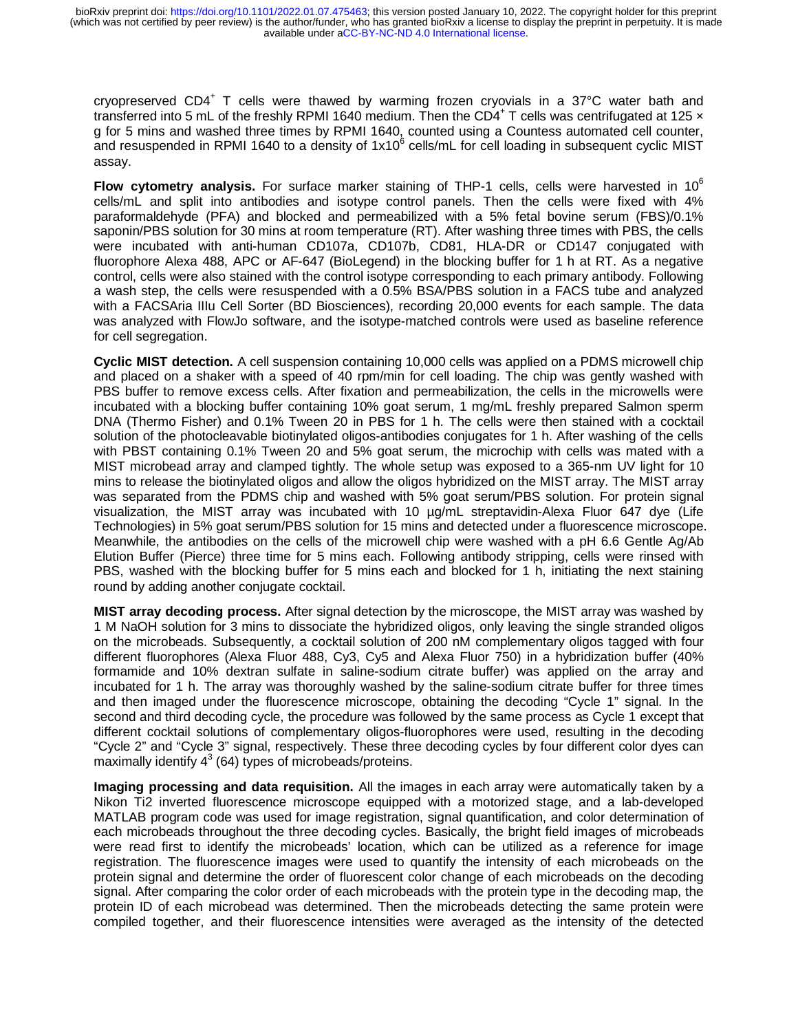cryopreserved CD4<sup>+</sup> T cells were thawed by warming frozen cryovials in a 37°C water bath and transferred into 5 mL of the freshly RPMI 1640 medium. Then the CD4<sup>+</sup> T cells was centrifugated at 125  $\times$ g for 5 mins and washed three times by RPMI 1640, counted using a Countess automated cell counter, and resuspended in RPMI 1640 to a density of 1x10 $^6$  cells/mL for cell loading in subsequent cyclic MIST assay.

**Flow cytometry analysis.** For surface marker staining of THP-1 cells, cells were harvested in 10<sup>6</sup> cells/mL and split into antibodies and isotype control panels. Then the cells were fixed with 4% paraformaldehyde (PFA) and blocked and permeabilized with a 5% fetal bovine serum (FBS)/0.1% saponin/PBS solution for 30 mins at room temperature (RT). After washing three times with PBS, the cells were incubated with anti-human CD107a, CD107b, CD81, HLA-DR or CD147 conjugated with fluorophore Alexa 488, APC or AF-647 (BioLegend) in the blocking buffer for 1 h at RT. As a negative control, cells were also stained with the control isotype corresponding to each primary antibody. Following a wash step, the cells were resuspended with a 0.5% BSA/PBS solution in a FACS tube and analyzed with a FACSAria IIIu Cell Sorter (BD Biosciences), recording 20,000 events for each sample. The data was analyzed with FlowJo software, and the isotype-matched controls were used as baseline reference for cell segregation.

**Cyclic MIST detection.** A cell suspension containing 10,000 cells was applied on a PDMS microwell chip and placed on a shaker with a speed of 40 rpm/min for cell loading. The chip was gently washed with PBS buffer to remove excess cells. After fixation and permeabilization, the cells in the microwells were incubated with a blocking buffer containing 10% goat serum, 1 mg/mL freshly prepared Salmon sperm DNA (Thermo Fisher) and 0.1% Tween 20 in PBS for 1 h. The cells were then stained with a cocktail solution of the photocleavable biotinylated oligos-antibodies conjugates for 1 h. After washing of the cells with PBST containing 0.1% Tween 20 and 5% goat serum, the microchip with cells was mated with a MIST microbead array and clamped tightly. The whole setup was exposed to a 365-nm UV light for 10 mins to release the biotinylated oligos and allow the oligos hybridized on the MIST array. The MIST array was separated from the PDMS chip and washed with 5% goat serum/PBS solution. For protein signal visualization, the MIST array was incubated with 10 µg/mL streptavidin-Alexa Fluor 647 dye (Life Technologies) in 5% goat serum/PBS solution for 15 mins and detected under a fluorescence microscope. Meanwhile, the antibodies on the cells of the microwell chip were washed with a pH 6.6 Gentle Ag/Ab Elution Buffer (Pierce) three time for 5 mins each. Following antibody stripping, cells were rinsed with PBS, washed with the blocking buffer for 5 mins each and blocked for 1 h, initiating the next staining round by adding another conjugate cocktail.

**MIST array decoding process.** After signal detection by the microscope, the MIST array was washed by 1 M NaOH solution for 3 mins to dissociate the hybridized oligos, only leaving the single stranded oligos on the microbeads. Subsequently, a cocktail solution of 200 nM complementary oligos tagged with four different fluorophores (Alexa Fluor 488, Cy3, Cy5 and Alexa Fluor 750) in a hybridization buffer (40% formamide and 10% dextran sulfate in saline-sodium citrate buffer) was applied on the array and incubated for 1 h. The array was thoroughly washed by the saline-sodium citrate buffer for three times and then imaged under the fluorescence microscope, obtaining the decoding "Cycle 1" signal. In the second and third decoding cycle, the procedure was followed by the same process as Cycle 1 except that different cocktail solutions of complementary oligos-fluorophores were used, resulting in the decoding "Cycle 2" and "Cycle 3" signal, respectively. These three decoding cycles by four different color dyes can maximally identify  $4^3$  (64) types of microbeads/proteins.

**Imaging processing and data requisition.** All the images in each array were automatically taken by a Nikon Ti2 inverted fluorescence microscope equipped with a motorized stage, and a lab-developed MATLAB program code was used for image registration, signal quantification, and color determination of each microbeads throughout the three decoding cycles. Basically, the bright field images of microbeads were read first to identify the microbeads' location, which can be utilized as a reference for image registration. The fluorescence images were used to quantify the intensity of each microbeads on the protein signal and determine the order of fluorescent color change of each microbeads on the decoding signal. After comparing the color order of each microbeads with the protein type in the decoding map, the protein ID of each microbead was determined. Then the microbeads detecting the same protein were compiled together, and their fluorescence intensities were averaged as the intensity of the detected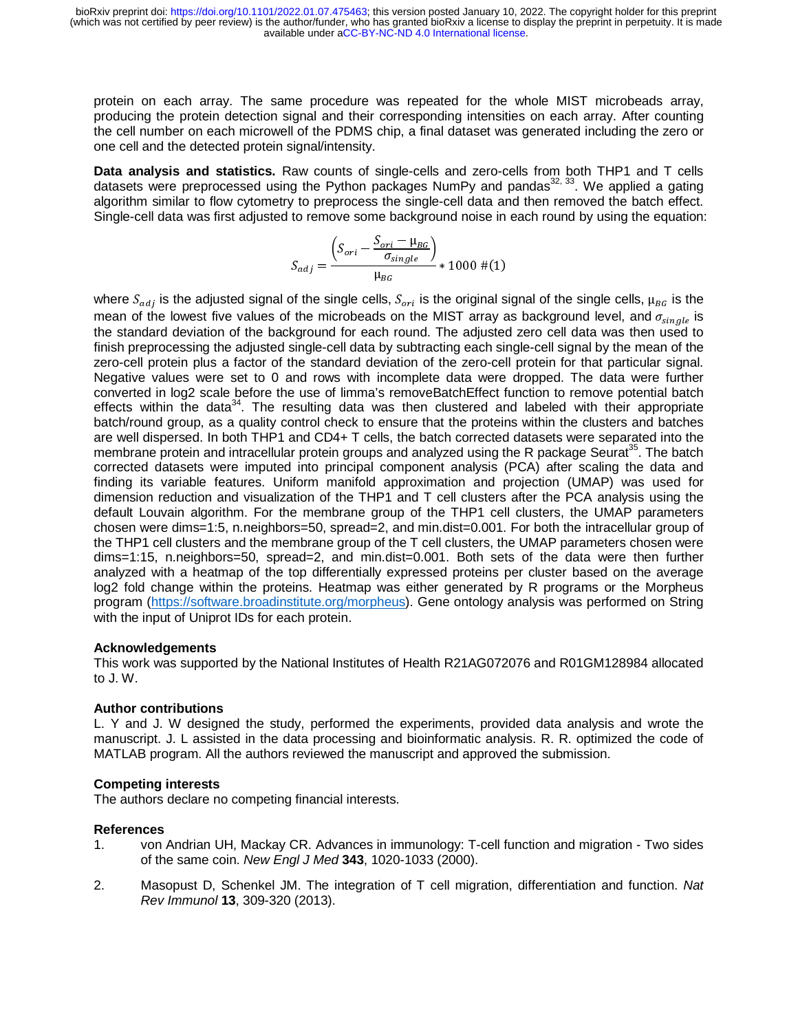protein on each array. The same procedure was repeated for the whole MIST microbeads array, producing the protein detection signal and their corresponding intensities on each array. After counting the cell number on each microwell of the PDMS chip, a final dataset was generated including the zero or one cell and the detected protein signal/intensity.

**Data analysis and statistics.** Raw counts of single-cells and zero-cells from both THP1 and T cells datasets were preprocessed using the Python packages NumPy and pandas<sup>32, 33</sup>. We applied a gating algorithm similar to flow cytometry to preprocess the single-cell data and then removed the batch effect. Single-cell data was first adjusted to remove some background noise in each round by using the equation:

$$
S_{adj} = \frac{\left(S_{ori} - \frac{S_{ori} - \mu_{BG}}{\sigma_{single}}\right)}{\mu_{BG}} * 1000 \neq (1)
$$

where  $S_{adj}$  is the adjusted signal of the single cells,  $S_{ori}$  is the original signal of the single cells,  $\mu_{BG}$  is the mean of the lowest five values of the microbeads on the MIST array as background level, and  $\sigma_{single}$  is the standard level of the background level of the standard level of the standard level of the standard level of the st the standard deviation of the background for each round. The adjusted zero cell data was then used to finish preprocessing the adjusted single-cell data by subtracting each single-cell signal by the mean of the zero-cell protein plus a factor of the standard deviation of the zero-cell protein for that particular signal. Negative values were set to 0 and rows with incomplete data were dropped. The data were further converted in log2 scale before the use of limma's removeBatchEffect function to remove potential batch effects within the data $34$ . The resulting data was then clustered and labeled with their appropriate batch/round group, as a quality control check to ensure that the proteins within the clusters and batches are well dispersed. In both THP1 and CD4+ T cells, the batch corrected datasets were separated into the membrane protein and intracellular protein groups and analyzed using the R package Seurat<sup>35</sup>. The batch corrected datasets were imputed into principal component analysis (PCA) after scaling the data and finding its variable features. Uniform manifold approximation and projection (UMAP) was used for dimension reduction and visualization of the THP1 and T cell clusters after the PCA analysis using the default Louvain algorithm. For the membrane group of the THP1 cell clusters, the UMAP parameters chosen were dims=1:5, n.neighbors=50, spread=2, and min.dist=0.001. For both the intracellular group of the THP1 cell clusters and the membrane group of the T cell clusters, the UMAP parameters chosen were dims=1:15, n.neighbors=50, spread=2, and min.dist=0.001. Both sets of the data were then further analyzed with a heatmap of the top differentially expressed proteins per cluster based on the average log2 fold change within the proteins. Heatmap was either generated by R programs or the Morpheus program (https://software.broadinstitute.org/morpheus). Gene ontology analysis was performed on String with the input of Uniprot IDs for each protein.

## **Acknowledgements**

This work was supported by the National Institutes of Health R21AG072076 and R01GM128984 allocated to J. W.

## **Author contributions**

L. Y and J. W designed the study, performed the experiments, provided data analysis and wrote the manuscript. J. L assisted in the data processing and bioinformatic analysis. R. R. optimized the code of MATLAB program. All the authors reviewed the manuscript and approved the submission.

## **Competing interests**

The authors declare no competing financial interests.

### **References**

- 1. von Andrian UH, Mackay CR. Advances in immunology: T-cell function and migration Two sides of the same coin. *New Engl J Med* **343**, 1020-1033 (2000).
- 2. Masopust D, Schenkel JM. The integration of T cell migration, differentiation and function. *Nat Rev Immunol* **13**, 309-320 (2013).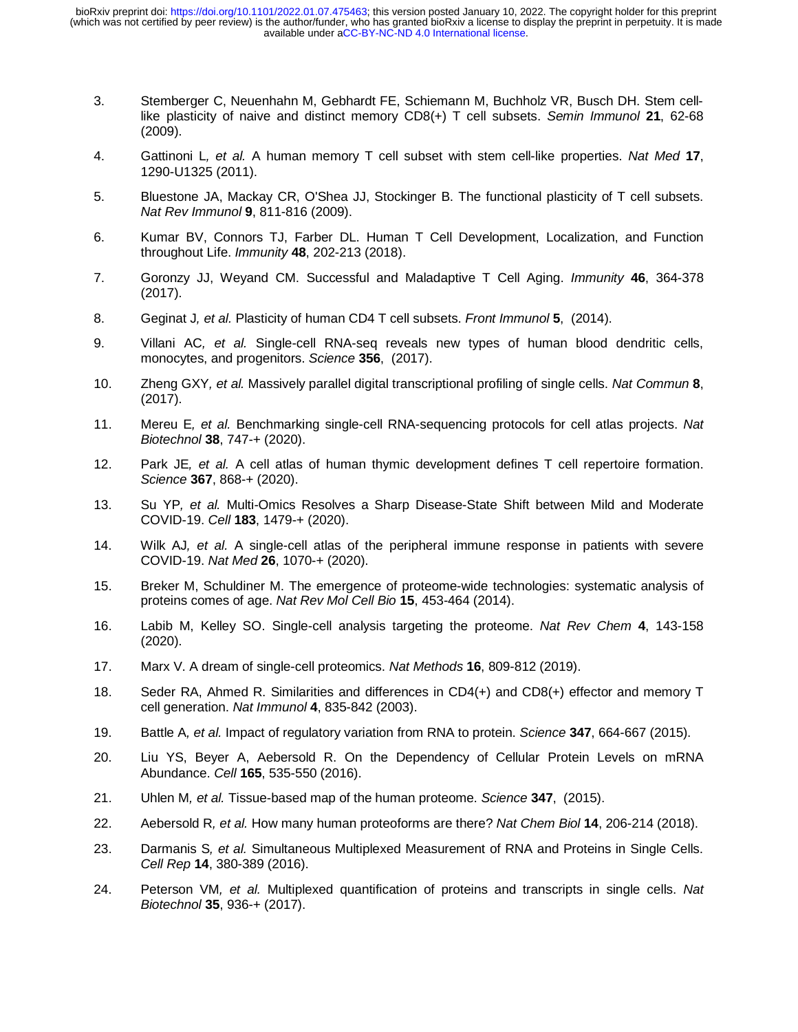- 3. Stemberger C, Neuenhahn M, Gebhardt FE, Schiemann M, Buchholz VR, Busch DH. Stem celllike plasticity of naive and distinct memory CD8(+) T cell subsets. *Semin Immunol* **21**, 62-68 (2009).
- 4. Gattinoni L*, et al.* A human memory T cell subset with stem cell-like properties. *Nat Med* **17**, 1290-U1325 (2011).
- 5. Bluestone JA, Mackay CR, O'Shea JJ, Stockinger B. The functional plasticity of T cell subsets. *Nat Rev Immunol* **9**, 811-816 (2009).
- 6. Kumar BV, Connors TJ, Farber DL. Human T Cell Development, Localization, and Function throughout Life. *Immunity* **48**, 202-213 (2018).
- 7. Goronzy JJ, Weyand CM. Successful and Maladaptive T Cell Aging. *Immunity* **46**, 364-378 (2017).
- 8. Geginat J*, et al.* Plasticity of human CD4 T cell subsets. *Front Immunol* **5**, (2014).
- 9. Villani AC*, et al.* Single-cell RNA-seq reveals new types of human blood dendritic cells, monocytes, and progenitors. *Science* **356**, (2017).
- 10. Zheng GXY*, et al.* Massively parallel digital transcriptional profiling of single cells. *Nat Commun* **8**, (2017).
- 11. Mereu E*, et al.* Benchmarking single-cell RNA-sequencing protocols for cell atlas projects. *Nat Biotechnol* **38**, 747-+ (2020).
- 12. Park JE*, et al.* A cell atlas of human thymic development defines T cell repertoire formation. *Science* **367**, 868-+ (2020).
- 13. Su YP*, et al.* Multi-Omics Resolves a Sharp Disease-State Shift between Mild and Moderate COVID-19. *Cell* **183**, 1479-+ (2020).
- 14. Wilk AJ*, et al.* A single-cell atlas of the peripheral immune response in patients with severe COVID-19. *Nat Med* **26**, 1070-+ (2020).
- 15. Breker M, Schuldiner M. The emergence of proteome-wide technologies: systematic analysis of proteins comes of age. *Nat Rev Mol Cell Bio* **15**, 453-464 (2014).
- 16. Labib M, Kelley SO. Single-cell analysis targeting the proteome. *Nat Rev Chem* **4**, 143-158 (2020).
- 17. Marx V. A dream of single-cell proteomics. *Nat Methods* **16**, 809-812 (2019).
- 18. Seder RA, Ahmed R. Similarities and differences in CD4(+) and CD8(+) effector and memory T cell generation. *Nat Immunol* **4**, 835-842 (2003).
- 19. Battle A*, et al.* Impact of regulatory variation from RNA to protein. *Science* **347**, 664-667 (2015).
- 20. Liu YS, Beyer A, Aebersold R. On the Dependency of Cellular Protein Levels on mRNA Abundance. *Cell* **165**, 535-550 (2016).
- 21. Uhlen M*, et al.* Tissue-based map of the human proteome. *Science* **347**, (2015).
- 22. Aebersold R*, et al.* How many human proteoforms are there? *Nat Chem Biol* **14**, 206-214 (2018).
- 23. Darmanis S*, et al.* Simultaneous Multiplexed Measurement of RNA and Proteins in Single Cells. *Cell Rep* **14**, 380-389 (2016).
- 24. Peterson VM*, et al.* Multiplexed quantification of proteins and transcripts in single cells. *Nat Biotechnol* **35**, 936-+ (2017).